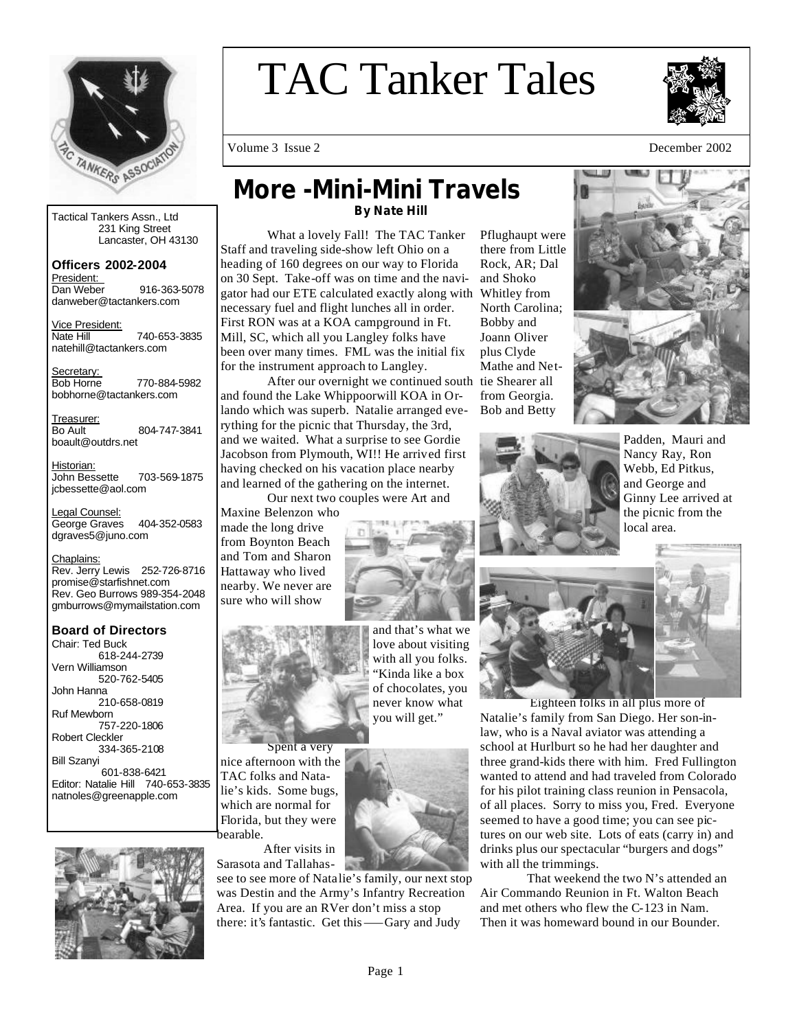

TAC Tanker Tales



Volume 3 Issue 2 December 2002

Tactical Tankers Assn., Ltd 231 King Street Lancaster, OH 43130

**Officers 2002-2004**  President: Dan Weber 916-363-5078 danweber@tactankers.com

Vice President:<br>Nate Hill 740-653-3835 natehill@tactankers.com

Secretary:<br>Bob Horne 770-884-5982 bobhorne@tactankers.com

Treasurer:<br>Bo Ault 804-747-3841 boault@outdrs.net

Historian: John Bessette 703-569-1875 jcbessette@aol.com

Legal Counsel: George Graves 404-352-0583 dgraves5@juno.com

Chaplains: Rev. Jerry Lewis 252-726-8716 promise@starfishnet.com Rev. Geo Burrows 989-354-2048 gmburrows@mymailstation.com

### **Board of Directors**

Chair: Ted Buck 618-244-2739 Vern Williamson 520-762-5405 John Hanna 210-658-0819 Ruf Mewborn 757-220-1806 Robert Cleckler 334-365-2108 Bill Szanyi 601-838-6421 Editor: Natalie Hill 740-653-3835 natnoles@greenapple.com



 What a lovely Fall! The TAC Tanker Staff and traveling side-show left Ohio on a heading of 160 degrees on our way to Florida on 30 Sept. Take-off was on time and the navigator had our ETE calculated exactly along with Whitley from necessary fuel and flight lunches all in order. First RON was at a KOA campground in Ft. Mill, SC, which all you Langley folks have been over many times. FML was the initial fix

*More -Mini-Mini Travels*  **By Nate Hill** 

for the instrument approach to Langley. After our overnight we continued south and found the Lake Whippoorwill KOA in Orlando which was superb. Natalie arranged everything for the picnic that Thursday, the 3rd, and we waited. What a surprise to see Gordie Jacobson from Plymouth, WI!! He arrived first having checked on his vacation place nearby and learned of the gathering on the internet.

Our next two couples were Art and

and that's what we love about visiting with all you folks. "Kinda like a box of chocolates, you never know what you will get."

Maxine Belenzon who made the long drive from Boynton Beach and Tom and Sharon Hattaway who lived nearby. We never are sure who will show



 Spent a very nice afternoon with the TAC folks and Natalie's kids. Some bugs, which are normal for Florida, but they were bearable.

 After visits in Sarasota and Tallahas-

see to see more of Natalie's family, our next stop was Destin and the Army's Infantry Recreation Area. If you are an RVer don't miss a stop there: it's fantastic. Get this—–Gary and Judy

Pflughaupt were there from Little Rock, AR; Dal and Shoko North Carolina; Bobby and Joann Oliver plus Clyde Mathe and Nettie Shearer all from Georgia. Bob and Betty





Padden, Mauri and Nancy Ray, Ron Webb, Ed Pitkus, and George and Ginny Lee arrived at the picnic from the local area.





 Eighteen folks in all plus more of Natalie's family from San Diego. Her son-inlaw, who is a Naval aviator was attending a school at Hurlburt so he had her daughter and three grand-kids there with him. Fred Fullington wanted to attend and had traveled from Colorado for his pilot training class reunion in Pensacola, of all places. Sorry to miss you, Fred. Everyone seemed to have a good time; you can see pictures on our web site. Lots of eats (carry in) and drinks plus our spectacular "burgers and dogs" with all the trimmings.

 That weekend the two N's attended an Air Commando Reunion in Ft. Walton Beach and met others who flew the C-123 in Nam. Then it was homeward bound in our Bounder.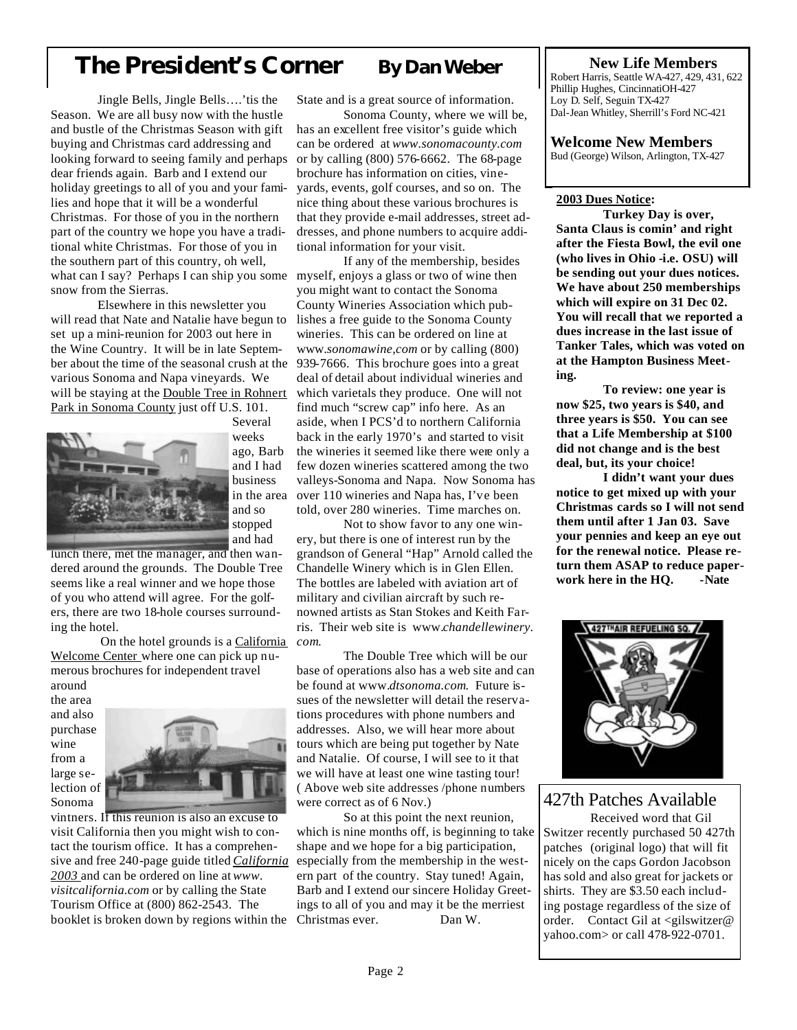# **The President's Corner By Dan Weber**

 Jingle Bells, Jingle Bells….'tis the Season. We are all busy now with the hustle and bustle of the Christmas Season with gift buying and Christmas card addressing and looking forward to seeing family and perhaps dear friends again. Barb and I extend our holiday greetings to all of you and your families and hope that it will be a wonderful Christmas. For those of you in the northern part of the country we hope you have a traditional white Christmas. For those of you in the southern part of this country, oh well, what can I say? Perhaps I can ship you some snow from the Sierras.

 Elsewhere in this newsletter you will read that Nate and Natalie have begun to set up a mini-reunion for 2003 out here in the Wine Country. It will be in late September about the time of the seasonal crush at the various Sonoma and Napa vineyards. We will be staying at the **Double Tree in Rohnert** Park in Sonoma County just off U.S. 101.



Several weeks

ago, Barb and I had business in the area and so stopped and had

lunch there, met the manager, and then wandered around the grounds. The Double Tree seems like a real winner and we hope those of you who attend will agree. For the golfers, there are two 18-hole courses surrounding the hotel.

 On the hotel grounds is a California Welcome Center where one can pick up numerous brochures for independent travel

around the area and also purchase wine from a large selection of Sonoma



vintners. If this reunion is also an excuse to visit California then you might wish to contact the tourism office. It has a comprehensive and free 240-page guide titled *California 2003* and can be ordered on line at *www. visitcalifornia.com* or by calling the State Tourism Office at (800) 862-2543. The booklet is broken down by regions within the State and is a great source of information.

 Sonoma County, where we will be, has an excellent free visitor's guide which can be ordered at *www.sonomacounty.com*  or by calling (800) 576-6662. The 68-page brochure has information on cities, vineyards, events, golf courses, and so on. The nice thing about these various brochures is that they provide e-mail addresses, street addresses, and phone numbers to acquire additional information for your visit.

 If any of the membership, besides myself, enjoys a glass or two of wine then you might want to contact the Sonoma County Wineries Association which publishes a free guide to the Sonoma County wineries. This can be ordered on line at www.*sonomawine,com* or by calling (800) 939-7666. This brochure goes into a great deal of detail about individual wineries and which varietals they produce. One will not find much "screw cap" info here. As an aside, when I PCS'd to northern California back in the early 1970's and started to visit the wineries it seemed like there were only a few dozen wineries scattered among the two valleys-Sonoma and Napa. Now Sonoma has over 110 wineries and Napa has, I've been told, over 280 wineries. Time marches on.

 Not to show favor to any one winery, but there is one of interest run by the grandson of General "Hap" Arnold called the Chandelle Winery which is in Glen Ellen. The bottles are labeled with aviation art of military and civilian aircraft by such renowned artists as Stan Stokes and Keith Farris. Their web site is www.*chandellewinery. com*.

 The Double Tree which will be our base of operations also has a web site and can be found at www.*dtsonoma.com*. Future issues of the newsletter will detail the reservations procedures with phone numbers and addresses. Also, we will hear more about tours which are being put together by Nate and Natalie. Of course, I will see to it that we will have at least one wine tasting tour! ( Above web site addresses /phone numbers were correct as of 6 Nov.)

 So at this point the next reunion, which is nine months off, is beginning to take shape and we hope for a big participation, especially from the membership in the western part of the country. Stay tuned! Again, Barb and I extend our sincere Holiday Greetings to all of you and may it be the merriest Christmas ever. Dan W.

### **New Life Members**

Robert Harris, Seattle WA-427, 429, 431, 622 Phillip Hughes, CincinnatiOH-427 Loy D. Self, Seguin TX-427 Dal-Jean Whitley, Sherrill's Ford NC-421

**Welcome New Members**  Bud (George) Wilson, Arlington, TX-427

### **2003 Dues Notice:**

 **Turkey Day is over, Santa Claus is comin' and right after the Fiesta Bowl, the evil one (who lives in Ohio -i.e. OSU) will be sending out your dues notices. We have about 250 memberships which will expire on 31 Dec 02. You will recall that we reported a dues increase in the last issue of Tanker Tales, which was voted on at the Hampton Business Meeting.** 

 **To review: one year is now \$25, two years is \$40, and three years is \$50. You can see that a Life Membership at \$100 did not change and is the best deal, but, its your choice!** 

 **I didn't want your dues notice to get mixed up with your Christmas cards so I will not send them until after 1 Jan 03. Save your pennies and keep an eye out for the renewal notice. Please return them ASAP to reduce paperwork here in the HQ.** -Nate



# 427th Patches Available

 Received word that Gil Switzer recently purchased 50 427th patches (original logo) that will fit nicely on the caps Gordon Jacobson has sold and also great for jackets or shirts. They are \$3.50 each including postage regardless of the size of order. Contact Gil at <gilswitzer@ yahoo.com> or call 478-922-0701.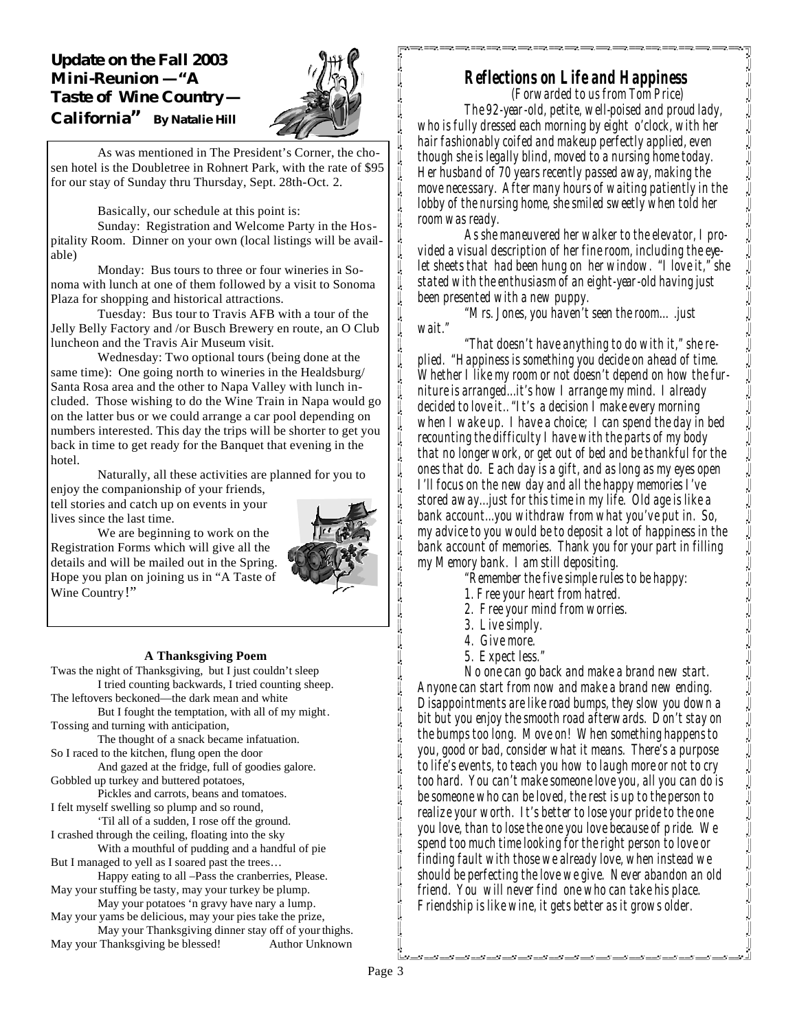# **Update on the Fall 2003 Mini-Reunion —"A Taste of Wine Country— California" By Natalie Hill**



 As was mentioned in The President's Corner, the chosen hotel is the Doubletree in Rohnert Park, with the rate of \$95 for our stay of Sunday thru Thursday, Sept. 28th-Oct. 2.

Basically, our schedule at this point is:

 Sunday: Registration and Welcome Party in the Hospitality Room. Dinner on your own (local listings will be available)

 Monday: Bus tours to three or four wineries in Sonoma with lunch at one of them followed by a visit to Sonoma Plaza for shopping and historical attractions.

 Tuesday: Bus tour to Travis AFB with a tour of the Jelly Belly Factory and /or Busch Brewery en route, an O Club luncheon and the Travis Air Museum visit.

 Wednesday: Two optional tours (being done at the same time): One going north to wineries in the Healdsburg/ Santa Rosa area and the other to Napa Valley with lunch included. Those wishing to do the Wine Train in Napa would go on the latter bus or we could arrange a car pool depending on numbers interested. This day the trips will be shorter to get you back in time to get ready for the Banquet that evening in the hotel.

Naturally, all these activities are planned for you to

enjoy the companionship of your friends, tell stories and catch up on events in your lives since the last time.

 We are beginning to work on the Registration Forms which will give all the details and will be mailed out in the Spring. Hope you plan on joining us in "A Taste of Wine Country!"



 $\frac{1}{2}$ ļ, ļ, ļ ļ,

### **A Thanksgiving Poem**

Twas the night of Thanksgiving, but I just couldn't sleep I tried counting backwards, I tried counting sheep.

The leftovers beckoned—the dark mean and white But I fought the temptation, with all of my might.

Tossing and turning with anticipation, The thought of a snack became infatuation.

So I raced to the kitchen, flung open the door And gazed at the fridge, full of goodies galore.

Gobbled up turkey and buttered potatoes,

 Pickles and carrots, beans and tomatoes. I felt myself swelling so plump and so round,

'Til all of a sudden, I rose off the ground.

I crashed through the ceiling, floating into the sky With a mouthful of pudding and a handful of pie

But I managed to yell as I soared past the trees… Happy eating to all –Pass the cranberries, Please.

May your stuffing be tasty, may your turkey be plump. May your potatoes 'n gravy have nary a lump.

May your yams be delicious, may your pies take the prize, May your Thanksgiving dinner stay off of your thighs. May your Thanksgiving be blessed! Author Unknown

# *Reflections on Life and Happiness (Forwarded to us from Tom Price)*

.<br>그런 그들은 그들은 그들은 그들은 그들은 그들은 그들은 그들을 그들을 그들을 그들을 그들을 그들을 그

 *The 92-year-old, petite, well-poised and proud lady, who is fully dressed each morning by eight o'clock, with her hair fashionably coifed and makeup perfectly applied, even though she is legally blind, moved to a nursing home today. Her husband of 70 years recently passed away, making the move necessary. After many hours of waiting patiently in the lobby of the nursing home, she smiled sweetly when told her room was ready.* 

 *As she maneuvered her walker to the elevator, I provided a visual description of her fine room, including the eyelet sheets that had been hung on her window. "I love it," she stated with the enthusiasm of an eight-year-old having just been presented with a new puppy.* 

 *"Mrs. Jones, you haven't seen the room….just wait."* 

 *"That doesn't have anything to do with it," she replied. "Happiness is something you decide on ahead of time. Whether I like my room or not doesn't depend on how the furniture is arranged...it's how I arrange my mind. I already decided to love it.."It's a decision I make every morning when I wake up. I have a choice; I can spend the day in bed recounting the difficulty I have with the parts of my body that no longer work, or get out of bed and be thankful for the ones that do. Each day is a gift, and as long as my eyes open I'll focus on the new day and all the happy memories I've stored away...just for this time in my life. Old age is like a bank account...you withdraw from what you've put in. So, my advice to you would be to deposit a lot of happiness in the bank account of memories. Thank you for your part in filling my Memory bank. I am still depositing.* 

 *"Remember the five simple rules to be happy:* 

- *1. Free your heart from hatred.*
- *2. Free your mind from worries.*
- *3. Live simply.*
- *4. Give more.*
- *5. Expect less."*

 *No one can go back and make a brand new start. Anyone can start from now and make a brand new ending. Disappointments are like road bumps, they slow you down a bit but you enjoy the smooth road afterwards. Don't stay on the bumps too long. Move on! When something happens to you, good or bad, consider what it means. There's a purpose to life's events, to teach you how to laugh more or not to cry too hard. You can't make someone love you, all you can do is be someone who can be loved, the rest is up to the person to realize your worth. It's better to lose your pride to the one you love, than to lose the one you love because of p ride. We spend too much time looking for the right person to love or finding fault with those we already love, when instead we should be perfecting the love we give. Never abandon an old friend. You will never find one who can take his place. Friendship is like wine, it gets better as it grows older.* 

المسوا المسوا المسوا المسوا المسوا المسوا المسوا المسوا المسوالاسوا المسوالاسوا المسوالاسوالاسوالاسوالا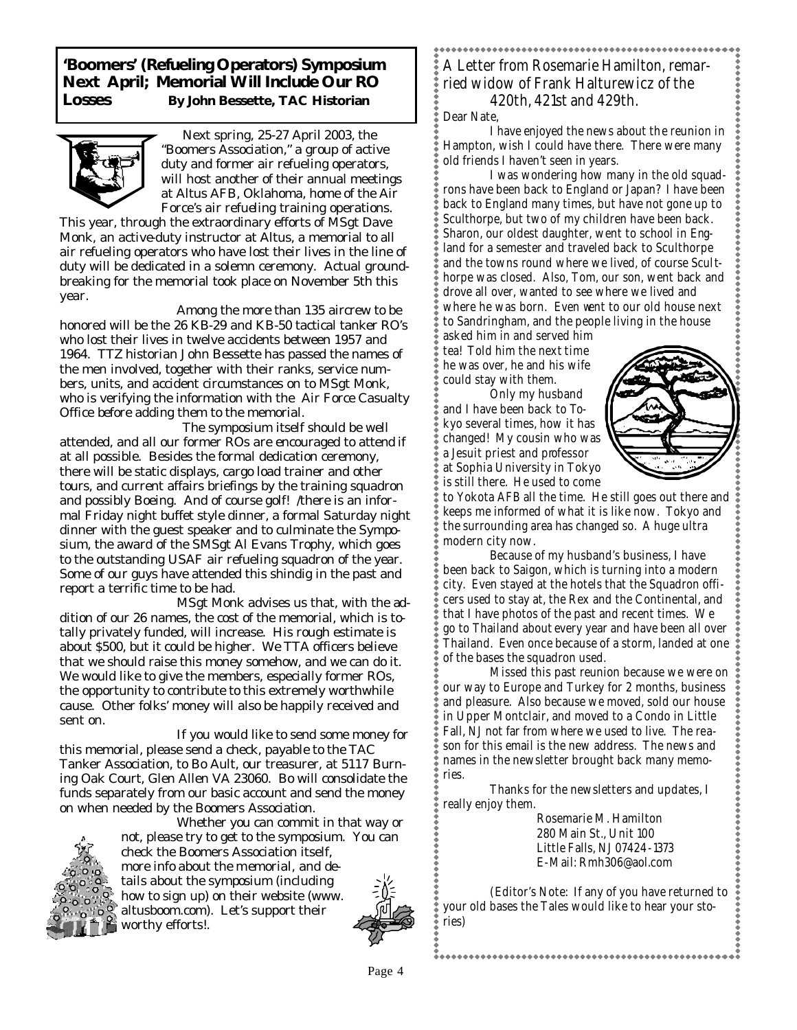### **'Boomers' (Refueling Operators) Symposium Next April; Memorial Will Include Our RO Losses By John Bessette, TAC Historian**



 Next spring, 25-27 April 2003, the "Boomers Association," a group of active duty and former air refueling operators, will host another of their annual meetings at Altus AFB, Oklahoma, home of the Air Force's air refueling training operations.

This year, through the extraordinary efforts of MSgt Dave Monk, an active-duty instructor at Altus, a memorial to all air refueling operators who have lost their lives in the line of duty will be dedicated in a solemn ceremony. Actual groundbreaking for the memorial took place on November 5th this year.

 Among the more than 135 aircrew to be honored will be the 26 KB-29 and KB-50 tactical tanker RO's who lost their lives in twelve accidents between 1957 and 1964. TTZ historian John Bessette has passed the names of the men involved, together with their ranks, service numbers, units, and accident circumstances on to MSgt Monk, who is verifying the information with the Air Force Casualty Office before adding them to the memorial.

 The symposium itself should be well attended, and all our former ROs are encouraged to attend if at all possible. Besides the formal dedication ceremony, there will be static displays, cargo load trainer and other tours, and current affairs briefings by the training squadron and possibly Boeing. And of course golf! /there is an informal Friday night buffet style dinner, a formal Saturday night dinner with the guest speaker and to culminate the Symposium, the award of the SMSgt Al Evans Trophy, which goes to the outstanding USAF air refueling squadron of the year. Some of our guys have attended this shindig in the past and report a terrific time to be had.

 MSgt Monk advises us that, with the addition of our 26 names, the cost of the memorial, which is totally privately funded, will increase. His rough estimate is about \$500, but it could be higher. We TTA officers believe that we should raise this money somehow, and we can do it. We would like to give the members, especially former ROs, the opportunity to contribute to this extremely worthwhile cause. Other folks' money will also be happily received and sent on.

 If you would like to send some money for this memorial, please send a check, payable to the TAC Tanker Association, to Bo Ault, our treasurer, at 5117 Burning Oak Court, Glen Allen VA 23060. Bo will consolidate the funds separately from our basic account and send the money on when needed by the Boomers Association.



 Whether you can commit in that way or not, please try to get to the symposium. You can check the Boomers Association itself, more info about the memorial, and details about the symposium (including how to sign up) on their website (www. altusboom.com). Let's support their worthy efforts!.



# A Letter from Rosemarie Hamilton, remarried widow of Frank Halturewicz of the 420th, 421st and 429th.

Dear Nate,

 I have enjoyed the news about the reunion in Hampton, wish I could have there. There were many old friends I haven't seen in years.

 I was wondering how many in the old squadrons have been back to England or Japan? I have been back to England many times, but have not gone up to Sculthorpe, but two of my children have been back. Sharon, our oldest daughter, went to school in England for a semester and traveled back to Sculthorpe and the towns round where we lived, of course Sculthorpe was closed. Also, Tom, our son, went back and drove all over, wanted to see where we lived and where he was born. Even went to our old house next to Sandringham, and the people living in the house asked him in and served him

tea! Told him the next time he was over, he and his wife could stay with them.

 Only my husband and I have been back to Tokyo several times, how it has changed! My cousin who was a Jesuit priest and professor at Sophia University in Tokyo is still there. He used to come



to Yokota AFB all the time. He still goes out there and keeps me informed of what it is like now. Tokyo and the surrounding area has changed so. A huge ultra modern city now.

 Because of my husband's business, I have been back to Saigon, which is turning into a modern city. Even stayed at the hotels that the Squadron officers used to stay at, the Rex and the Continental, and that I have photos of the past and recent times. We go to Thailand about every year and have been all over Thailand. Even once because of a storm, landed at one of the bases the squadron used.

 Missed this past reunion because we were on our way to Europe and Turkey for 2 months, business and pleasure. Also because we moved, sold our house in Upper Montclair, and moved to a Condo in Little Fall, NJ not far from where we used to live. The reason for this email is the new address. The news and names in the newsletter brought back many memories.

 Thanks for the newsletters and updates, I really enjoy them.

> Rosemarie M. Hamilton 280 Main St., Unit 100 Little Falls, NJ 07424-1373 E-Mail: Rmh306@aol.com

\*\*\*\*\*\*\*\*\*\*\*\*\*\*\*\*\*\*\*\*\*\*\*\*\*\*\*

 (Editor's Note: If any of you have returned to your old bases the Tales would like to hear your stories)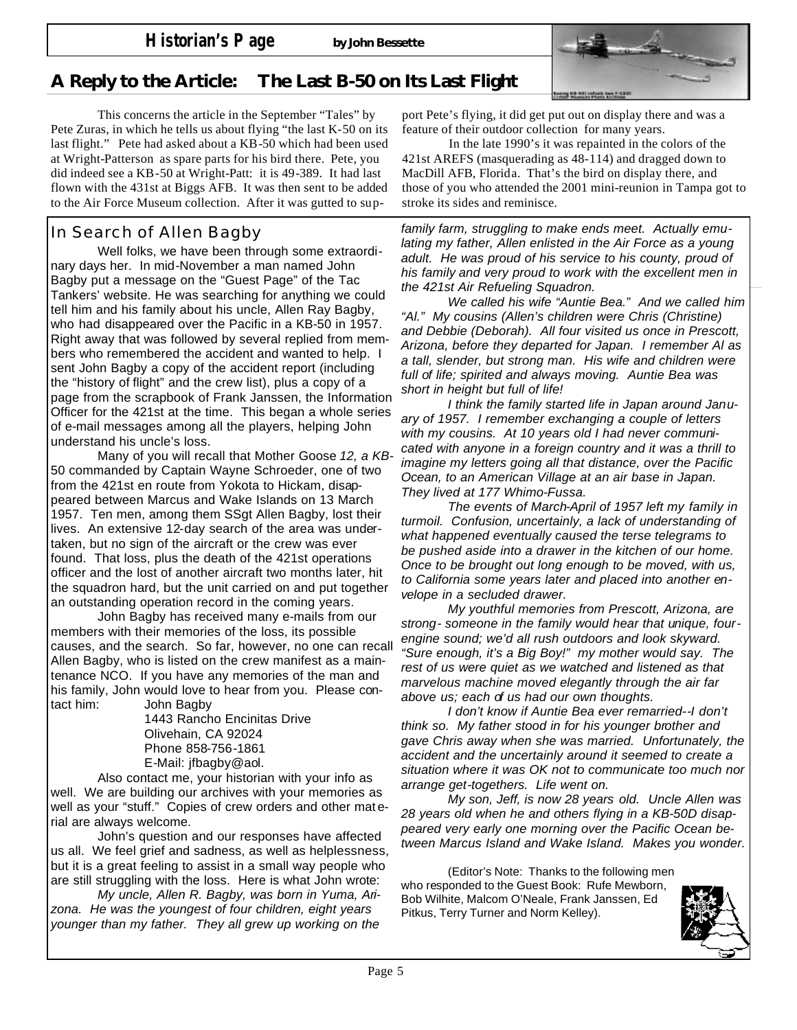

# **A Reply to the Article: The Last B-50 on Its Last Flight**

This concerns the article in the September "Tales" by Pete Zuras, in which he tells us about flying "the last K-50 on its last flight." Pete had asked about a KB-50 which had been used at Wright-Patterson as spare parts for his bird there. Pete, you did indeed see a KB-50 at Wright-Patt: it is 49-389. It had last flown with the 431st at Biggs AFB. It was then sent to be added to the Air Force Museum collection. After it was gutted to sup-

# In Search of Allen Bagby

 Well folks, we have been through some extraordinary days her. In mid-November a man named John Bagby put a message on the "Guest Page" of the Tac Tankers' website. He was searching for anything we could tell him and his family about his uncle, Allen Ray Bagby, who had disappeared over the Pacific in a KB-50 in 1957. Right away that was followed by several replied from members who remembered the accident and wanted to help. I sent John Bagby a copy of the accident report (including the "history of flight" and the crew list), plus a copy of a page from the scrapbook of Frank Janssen, the Information Officer for the 421st at the time. This began a whole series of e-mail messages among all the players, helping John understand his uncle's loss.

 Many of you will recall that Mother Goose *12, a KB-*50 commanded by Captain Wayne Schroeder, one of two from the 421st en route from Yokota to Hickam, disappeared between Marcus and Wake Islands on 13 March 1957. Ten men, among them SSgt Allen Bagby, lost their lives. An extensive 12-day search of the area was undertaken, but no sign of the aircraft or the crew was ever found. That loss, plus the death of the 421st operations officer and the lost of another aircraft two months later, hit the squadron hard, but the unit carried on and put together an outstanding operation record in the coming years.

 John Bagby has received many e-mails from our members with their memories of the loss, its possible causes, and the search. So far, however, no one can recall Allen Bagby, who is listed on the crew manifest as a maintenance NCO. If you have any memories of the man and his family, John would love to hear from you. Please contact him: John Bagby

 1443 Rancho Encinitas Drive Olivehain, CA 92024 Phone 858-756-1861 E-Mail: jfbagby@aol.

 Also contact me, your historian with your info as well. We are building our archives with your memories as well as your "stuff." Copies of crew orders and other mat erial are always welcome.

 John's question and our responses have affected us all. We feel grief and sadness, as well as helplessness, but it is a great feeling to assist in a small way people who are still struggling with the loss. Here is what John wrote:

 *My uncle, Allen R. Bagby, was born in Yuma, Arizona. He was the youngest of four children, eight years younger than my father. They all grew up working on the* 

port Pete's flying, it did get put out on display there and was a feature of their outdoor collection for many years.

 In the late 1990's it was repainted in the colors of the 421st AREFS (masquerading as 48-114) and dragged down to MacDill AFB, Florida. That's the bird on display there, and those of you who attended the 2001 mini-reunion in Tampa got to stroke its sides and reminisce.

*family farm, struggling to make ends meet. Actually emulating my father, Allen enlisted in the Air Force as a young adult. He was proud of his service to his county, proud of his family and very proud to work with the excellent men in the 421st Air Refueling Squadron.* 

 *We called his wife "Auntie Bea." And we called him "Al." My cousins (Allen's children were Chris (Christine) and Debbie (Deborah). All four visited us once in Prescott, Arizona, before they departed for Japan. I remember Al as a tall, slender, but strong man. His wife and children were full of life; spirited and always moving. Auntie Bea was short in height but full of life!* 

 *I think the family started life in Japan around January of 1957. I remember exchanging a couple of letters with my cousins. At 10 years old I had never communicated with anyone in a foreign country and it was a thrill to imagine my letters going all that distance, over the Pacific Ocean, to an American Village at an air base in Japan. They lived at 177 Whimo-Fussa.* 

 *The events of March-April of 1957 left my family in turmoil. Confusion, uncertainly, a lack of understanding of what happened eventually caused the terse telegrams to be pushed aside into a drawer in the kitchen of our home. Once to be brought out long enough to be moved, with us, to California some years later and placed into another envelope in a secluded drawer.* 

 *My youthful memories from Prescott, Arizona, are strong- someone in the family would hear that unique, fourengine sound; we'd all rush outdoors and look skyward. "Sure enough, it's a Big Boy!" my mother would say. The rest of us were quiet as we watched and listened as that marvelous machine moved elegantly through the air far above us; each of us had our own thoughts.* 

 *I don't know if Auntie Bea ever remarried--I don't think so. My father stood in for his younger brother and gave Chris away when she was married. Unfortunately, the accident and the uncertainly around it seemed to create a situation where it was OK not to communicate too much nor arrange get-togethers. Life went on.* 

 *My son, Jeff, is now 28 years old. Uncle Allen was 28 years old when he and others flying in a KB-50D disappeared very early one morning over the Pacific Ocean between Marcus Island and Wake Island. Makes you wonder.* 

(Editor's Note: Thanks to the following men who responded to the Guest Book: Rufe Mewborn, Bob Wilhite, Malcom O'Neale, Frank Janssen, Ed Pitkus, Terry Turner and Norm Kelley).

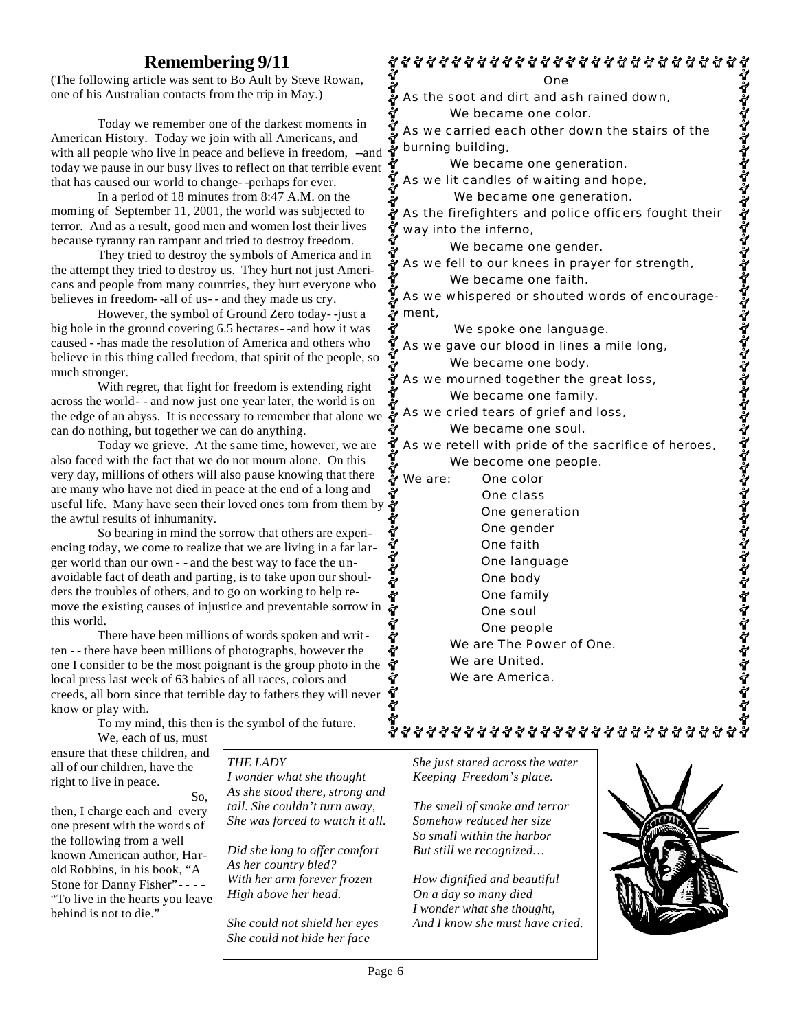# 

# **Remembering 9/11**

(The following article was sent to Bo Ault by Steve Rowan, one of his Australian contacts from the trip in May.)

 Today we remember one of the darkest moments in American History. Today we join with all Americans, and with all people who live in peace and believe in freedom, --and today we pause in our busy lives to reflect on that terrible event to the state of that has caused our world to change- -perhaps for ever.

 In a period of 18 minutes from 8:47 A.M. on the morning of September 11, 2001, the world was subjected to terror. And as a result, good men and women lost their lives because tyranny ran rampant and tried to destroy freedom.

 They tried to destroy the symbols of America and in the attempt they tried to destroy us. They hurt not just Americans and people from many countries, they hurt everyone who believes in freedom- -all of us- - and they made us cry.

 However, the symbol of Ground Zero today- -just a big hole in the ground covering 6.5 hectares- -and how it was caused - -has made the resolution of America and others who believe in this thing called freedom, that spirit of the people, so much stronger.

 With regret, that fight for freedom is extending right across the world- - and now just one year later, the world is on the edge of an abyss. It is necessary to remember that alone we can do nothing, but together we can do anything.

 Today we grieve. At the same time, however, we are also faced with the fact that we do not mourn alone. On this very day, millions of others will also pause knowing that there are many who have not died in peace at the end of a long and useful life. Many have seen their loved ones torn from them by the awful results of inhumanity.

 So bearing in mind the sorrow that others are experiencing today, we come to realize that we are living in a far larger world than our own - - and the best way to face the unavoidable fact of death and parting, is to take upon our shoulders the troubles of others, and to go on working to help remove the existing causes of injustice and preventable sorrow in this world.

 There have been millions of words spoken and written - - there have been millions of photographs, however the one I consider to be the most poignant is the group photo in the local press last week of 63 babies of all races, colors and creeds, all born since that terrible day to fathers they will never know or play with.

To my mind, this then is the symbol of the future.

 We, each of us, must ensure that these children, and all of our children, have the right to live in peace.

 So, then, I charge each and every one present with the words of the following from a well known American author, Harold Robbins, in his book, "A Stone for Danny Fisher"- - - - "To live in the hearts you leave behind is not to die."

### *THE LADY*

*I wonder what she thought As she stood there, strong and tall. She couldn't turn away, She was forced to watch it all.*

*Did she long to offer comfort As her country bled? With her arm forever frozen High above her head.* 

*She could not shield her eyes She could not hide her face* 

# \*\*\*\*\*\*\*\*\*\*\*\*\*\*\*\*\*\*\*\*\*\* ⊰∙⊰∙⊰∙⊰∙⊰

**Contract Contract One** 

As the soot and dirt and ash rained down, We became one color.

As we carried each other down the stairs of the burning building, Ÿ

We became one generation.

As we lit candles of waiting and hope,

We became one generation.

ر<br>پ As the firefighters and police officers fought their way into the inferno,

We became one gender.

As we fell to our knees in prayer for strength, We became one faith.

As we whispered or shouted words of encouragement,

We spoke one language.

As we gave our blood in lines a mile long,

We became one body.

As we mourned together the great loss, We became one family.

As we cried tears of grief and loss,

We became one soul.

ā,

ए॰दान्दान्द

Ÿ Ÿ è Ÿ Ÿ Ÿ Ÿ

Ý

As we retell with pride of the sacrifice of heroes, We become one people.

| We are: | One color                |
|---------|--------------------------|
|         | One class                |
|         | One generation           |
|         | One gender               |
|         | One faith                |
|         | One language             |
|         | One body                 |
|         | One family               |
|         | One soul                 |
|         | One people               |
|         | We are The Power of One. |
|         | We are United.           |
|         | We are America.          |
|         |                          |

# ง<br>\*\*\*\*\*\*\*\*\*\*\*\*\*\*\*\*\*\*\*\*\*

*She just stared across the water Keeping Freedom's place.*

*The smell of smoke and terror Somehow reduced her size So small within the harbor But still we recognized…* 

*How dignified and beautiful On a day so many died I wonder what she thought, And I know she must have cried.*

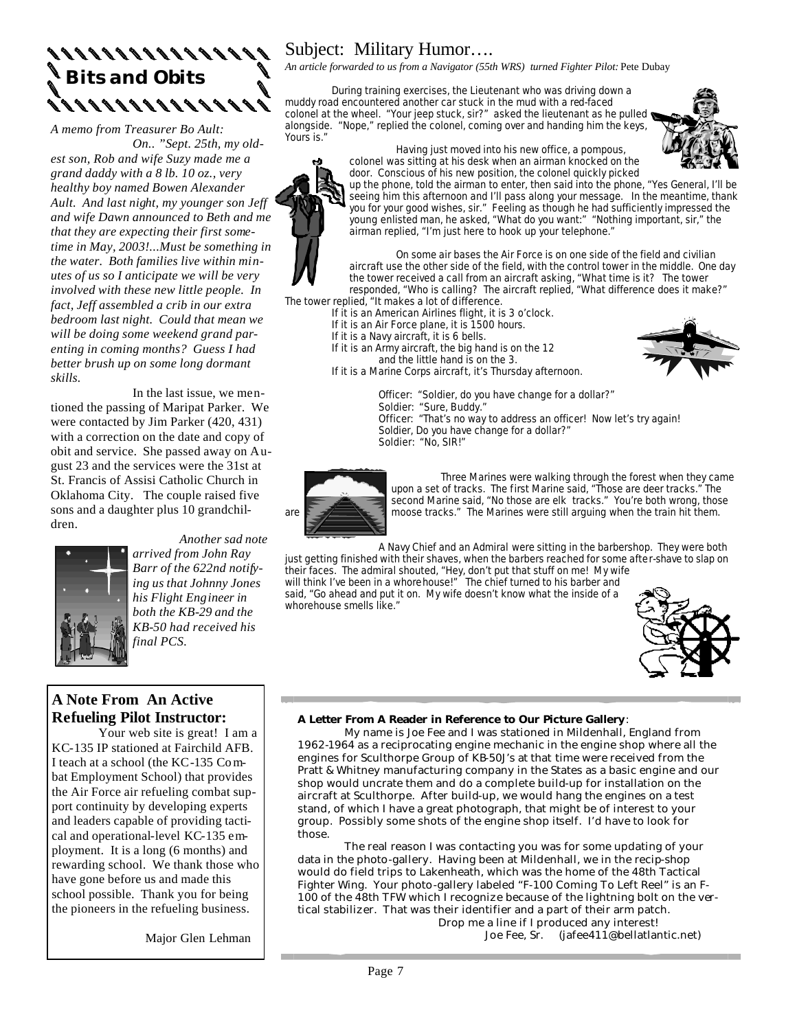# **Bits and Obits**  $1111111111111$

*A memo from Treasurer Bo Ault: On.. "Sept. 25th, my oldest son, Rob and wife Suzy made me a grand daddy with a 8 lb. 10 oz., very healthy boy named Bowen Alexander Ault. And last night, my younger son Jeff and wife Dawn announced to Beth and me that they are expecting their first sometime in May, 2003!...Must be something in the water. Both families live within minutes of us so I anticipate we will be very involved with these new little people. In fact, Jeff assembled a crib in our extra bedroom last night. Could that mean we will be doing some weekend grand parenting in coming months? Guess I had better brush up on some long dormant skills.* 

In the last issue, we mentioned the passing of Maripat Parker. We were contacted by Jim Parker (420, 431) with a correction on the date and copy of obit and service. She passed away on August 23 and the services were the 31st at St. Francis of Assisi Catholic Church in Oklahoma City. The couple raised five sons and a daughter plus 10 grandchildren.



 *Another sad note arrived from John Ray Barr of the 622nd notifying us that Johnny Jones his Flight Engineer in both the KB-29 and the KB-50 had received his final PCS.* 

# **A Note From An Active Refueling Pilot Instructor:**

 Your web site is great! I am a KC-135 IP stationed at Fairchild AFB. I teach at a school (the KC-135 Combat Employment School) that provides the Air Force air refueling combat support continuity by developing experts and leaders capable of providing tactical and operational-level KC-135 employment. It is a long (6 months) and rewarding school. We thank those who have gone before us and made this school possible. Thank you for being the pioneers in the refueling business.

Major Glen Lehman

# Subject: Military Humor….

*An article forwarded to us from a Navigator (55th WRS) turned Fighter Pilot:* Pete Dubay

 During training exercises, the Lieutenant who was driving down a muddy road encountered another car stuck in the mud with a red-faced colonel at the wheel. "Your jeep stuck, sir?" asked the lieutenant as he pulled alongside. "Nope," replied the colonel, coming over and handing him the keys, Yours is."



 Having just moved into his new office, a pompous, colonel was sitting at his desk when an airman knocked on the door. Conscious of his new position, the colonel quickly picked

up the phone, told the airman to enter, then said into the phone, "Yes General, I'll be seeing him this afternoon and I'll pass along your message. In the meantime, thank you for your good wishes, sir." Feeling as though he had sufficiently impressed the young enlisted man, he asked, "What do you want:" "Nothing important, sir," the airman replied, "I'm just here to hook up your telephone."

 On some air bases the Air Force is on one side of the field and civilian aircraft use the other side of the field, with the control tower in the middle. One day the tower received a call from an aircraft asking, "What time is it? The tower responded, "Who is calling? The aircraft replied, "What difference does it make?"

The tower replied, "It makes a lot of difference.

If it is an American Airlines flight, it is 3 o'clock.

If it is an Air Force plane, it is 1500 hours.

If it is a Navy aircraft, it is 6 bells.

 If it is an Army aircraft, the big hand is on the 12 and the little hand is on the 3.

If it is a Marine Corps aircraft, it's Thursday afternoon.

 Officer: "Soldier, do you have change for a dollar?" Soldier: "Sure, Buddy."

 Officer: "That's no way to address an officer! Now let's try again! Soldier, Do you have change for a dollar?" Soldier: "No, SIR!"



 Three Marines were walking through the forest when they came upon a set of tracks. The first Marine said, "Those are deer tracks." The second Marine said, "No those are elk tracks." You're both wrong, those are  $\mathbb{R}$   $\rightarrow$   $\mathbb{R}$  moose tracks." The Marines were still arguing when the train hit them.

 A Navy Chief and an Admiral were sitting in the barbershop. They were both just getting finished with their shaves, when the barbers reached for some after-shave to slap on their faces. The admiral shouted, "Hey, don't put that stuff on me! My wife will think I've been in a whorehouse!" The chief turned to his barber and said, "Go ahead and put it on. My wife doesn't know what the inside of a whorehouse smells like."



### **A Letter From A Reader in Reference to Our Picture Gallery**:

 My name is Joe Fee and I was stationed in Mildenhall, England from 1962-1964 as a reciprocating engine mechanic in the engine shop where all the engines for Sculthorpe Group of KB-50J's at that time were received from the Pratt & Whitney manufacturing company in the States as a basic engine and our shop would uncrate them and do a complete build-up for installation on the aircraft at Sculthorpe. After build-up, we would hang the engines on a test stand, of which I have a great photograph, that might be of interest to your group. Possibly some shots of the engine shop itself. I'd have to look for those.

 The real reason I was contacting you was for some updating of your data in the photo-gallery. Having been at Mildenhall, we in the recip-shop would do field trips to Lakenheath, which was the home of the 48th Tactical Fighter Wing. Your photo-gallery labeled "F-100 Coming To Left Reel" is an F-100 of the 48th TFW which I recognize because of the lightning bolt on the vertical stabilizer. That was their identifier and a part of their arm patch. Drop me a line if I produced any interest!

Joe Fee, Sr. (jafee411@bellatlantic.net)